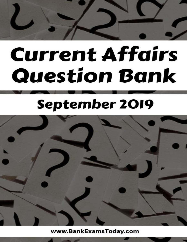# **Current Affairs Question Bank**

# **September 2019**



www.BankExamsToday.com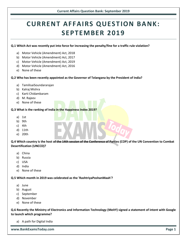# **www.BankExamsToday.com Page 1**

#### **Q.6 Recently the Ministry of Electronics and Information Technology (MeitY) signed a statement of intent with Google to launch which programme?**

a) A path for Digital India

### e) None of these

## a) China

- b) Russia
- c) USA
- d) India

a) June b) August c) September d) November

e) None of these

#### **Q.5 Which month in 2019 was celebrated as the 'RashtriyaPoshanMaah'?**

- **Desertification (UNCCD)?**
- **Q.4 Which country is the host of the 14th session of the Conference of Parties (COP) of the UN Convention to Combat**

a) Motor Vehicle (Amendment) Act, 2018 b) Motor Vehicle (Amendment) Act, 2017 c) Motor Vehicle (Amendment) Act, 2019 d) Motor Vehicle (Amendment) Act, 2016

e) None of these

d) M. Rajeev

e) None of these

b) Kalraj Mishra

a) TamilisaiSoundararajan

c) Karti Chidambaram

- 
- a) 1st
- 
- 
- c) 4th
- 
- 
- 
- 
- e) 20th
- 
- 
- b) 9th
- 
- 
- 
- 
- d) 11th
- 
- 

- 
- 



# **CURRENT AFFAIRS QUESTION BANK: SEPTEMBER 2019**

**Q.1 Which Act was recently put into force for increasing the penalty/fine for a traffic rule violation?**

**Q.2 Who has been recently appointed as the Governor of Telangana by the President of India?**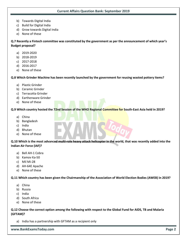- b) Towards Digital India
- c) Build for Digital India
- d) Grow towards Digital India
- e) None of these

**Q.7 Recently a Fintech committee was constituted by the government as per the announcement of which year's Budget proposal?**

- a) 2019-2020
- b) 2018-2019
- c) 2017-2018
- d) 2016-2017
- e) None of these

#### **Q.8 Which Grinder Machine has been recently launched by the government for reusing wasted pottery items?**

- a) Plastic Grinder
- b) Ceramic Grinder
- c) Terracotta Grinder
- d) Earthenware Grinder
- e) None of these

#### **Q.9 Which country hosted the 72nd Session of the WHO Regional Committee for South-East Asia held in 2019?**

- a) China
- b) Bangladesh
- c) India
- d) Bhutan
- e) None of these

**Q.10 Which is the most advanced multi-role heavy attack helicopter in the world, that was recently added into the Indian Air Force (IAF)?**

- a) Bell AH-1 Cobra
- b) Kamov Ka-50
- c) Mil Mi-28
- d) AH-64E Apache
- e) None of these

**Q.11 Which country has been given the Chairmanship of the Association of World Election Bodies (AWEB) in 2019?**

- a) China
- b) Russia
- c) India
- d) South Africa
- e) None of these

#### **Q.12 Choose the correct option among the following with respect to the Global Fund for AIDS, TB and Malaria (GFTAM)?**

a) India has a partnership with GFTAM as a recipient only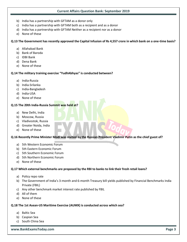- b) India has a partnership with GFTAM as a donor only
- c) India has a partnership with GFTAM both as a recipient and as a donor
- d) India has a partnership with GFTAM Neither as a recipient nor as a donor
- e) None of these

**Q.13 The Government has recently approved the Capital Infusion of Rs 4,557 crore in which bank on a one-time basis?**

- a) Allahabad Bank
- b) Bank of Baroda
- c) IDBI Bank
- d) Dena Bank
- e) None of these

#### **Q.14 The military training exercise "YudhAbhyas" is conducted between?**

- a) India-Russia
- b) India-Srilanka
- c) India-Bangladesh
- d) India-USA
- e) None of these

#### **Q.15 The 20th India-Russia Summit was held at?**

- a) New Delhi, India
- b) Moscow, Russia
- c) Vladivostok, Russia
- d) Greater Noida, India
- e) None of these

#### **Q.16 Recently Prime Minister Modi was invited by the Russian President Vladimir Putin as the chief guest of?**

- a) 5th Western Economic Forum
- b) 5th Eastern Economic Forum
- c) 5th Southern Economic Forum
- d) 5th Northern Economic Forum
- e) None of these

#### **Q.17 Which external benchmarks are proposed by the RBI to banks to link their fresh retail loans?**

- a) Policy repo rate
- b) The Government of India's 3-month and 6-month Treasury bill yields published by Financial Benchmarks India Private (FBIL)
- c) Any other benchmark market interest rate published by FBIL
- d) All of them
- e) None of these

#### **Q.18 The 1st Asean-US Maritime Exercise (AUMX) is conducted across which sea?**

- a) Baltic Sea
- b) Caspian Sea
- c) South China Sea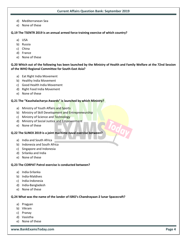- d) Mediterranean Sea
- e) None of these

**Q.19 The TSENTR 2019 is an annual armed force training exercise of which country?**

- a) USA
- b) Russia
- c) China
- d) France
- e) None of these

**Q.20 Which out of the following has been launched by the Ministry of Health and Family Welfare at the 72nd Session of the WHO Regional Committee for South-East Asia?**

- a) Eat Right India Movement
- b) Healthy India Movement
- c) Good Health India Movement
- d) Right Food India Movement
- e) None of these

#### **Q.21 The "Kaushalacharya Awards" is launched by which Ministry?**

- a) Ministry of Youth Affairs and Sports
- b) Ministry of Skill Development and Entrepreneurship
- c) Ministry of Science and Technology
- d) Ministry of Social Justice and Empowerment
- e) None of these

#### **Q.22 The SLINEX 2019 is a joint maritime naval exercise between?**

- a) India and South Africa
- b) Indonesia and South Africa
- c) Singapore and Indonesia
- d) Srilanka and India
- e) None of these

#### **Q.23 The CORPAT Patrol exercise is conducted between?**

- a) India-Srilanka
- b) India-Maldives
- c) India-Indonesia
- d) India-Bangladesh
- e) None of these

#### **Q.24 What was the name of the lander of ISRO's Chandrayaan-2 lunar Spacecraft?**

- a) Pragyan
- b) Vikram
- c) Pranay
- d) Vasistha
- e) None of these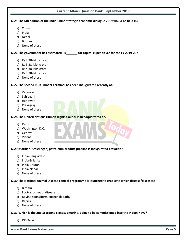#### **Q.25 The 6th edition of the India-China strategic economic dialogue 2019 would be held in?**

- a) China
- b) India
- c) Nepal
- d) Bhutan
- e) None of these

#### **Q.26 The government has estimated Rs\_\_\_\_\_\_\_ for capital expenditure for the FY 2019-20?**

- a) Rs 2.38-lakh crore
- b) Rs 3.38-lakh crore
- c) Rs 4.38-lakh crore
- d) Rs 5.38-lakh crore
- e) None of these

#### **Q.27 The second multi-modal Terminal has been inaugurated recently at?**

- a) Varanasi
- b) Sahibganj
- c) Haridwar
- d) Prayagraj
- e) None of these

#### **Q.28 The United Nations Human Rights Council is headquartered at?**

- a) Paris
- b) Washington D.C.
- c) Geneva
- d) Vienna
- e) None of these

#### **Q.29 Motihari-Amlekhganj petroleum product pipeline is inaugurated between?**

- a) India-Bangladesh
- b) India-Srilanka
- c) India-Bhutan
- d) India-Nepal
- e) None of these

#### **Q.30 The National Animal Disease control programme is launched to eradicate which disease/diseases?**

- a) Bird flu
- b) Foot-and-mouth disease
- c) Bovine spongiform encephalopathy
- d) Rabies
- e) None of these

#### **Q.31 Which is the 2nd Scorpene class submarine, going to be commissioned into the Indian Navy?**

a) INS Kalvari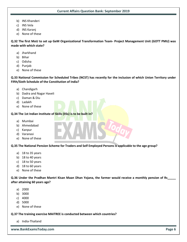- b) INS Khanderi
- c) INS Vela
- d) INS Karanj
- e) None of these

**Q.32 The first MoU to set up GeM Organizational Transformation Team- Project Management Unit (GOTT PMU) was made with which state?** 

- a) Jharkhand
- b) Bihar
- c) Odisha
- d) Punjab
- e) None of these

**Q.33 National Commission for Scheduled Tribes (NCST) has recently for the inclusion of which Union Territory under Fifth/Sixth Schedule of the Constitution of India?** 

- a) Chandigarh
- b) Dadra and Nagar Haveli
- c) Daman & Diu
- d) Ladakh
- e) None of these

#### **Q.34 The 1st Indian Institute of Skills (IISs) is to be built in?**

- a) Mumbai
- b) Ahmedabad
- c) Kanpur
- d) Varanasi
- e) None of these

**Q.35 The National Pension Scheme for Traders and Self Employed Persons is applicable to the age group?**

- a) 18 to 35 years
- b) 18 to 40 years
- c) 18 to 50 years
- d) 18 to 60 years
- e) None of these

**Q.36 Under the Pradhan Mantri Kisan Maan Dhan Yojana, the farmer would receive a monthly pension of Rs\_\_\_\_\_ after attaining 60 years age?**

- a) 2000
- b) 3000
- c) 4000
- d) 5000
- e) None of these

#### **Q.37 The training exercise MAITREE is conducted between which countries?**

a) India-Thailand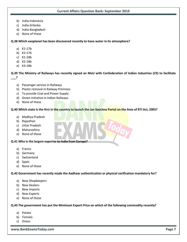- b) India-Indonesia
- c) India-Srilanka
- d) India-Bangladesh
- e) None of these

**Q.38 Which exoplanet has been discovered recently to have water in its atmosphere?** 

- a) K1-17b
- b) K2-17b
- c) K1-18b
- d) K2-18b
- e) K3-18b

**Q.39 The Ministry of Railways has recently signed an MoU with Confederation of Indian Industries (CII) to facilitate \_\_\_?**

- a) Passenger service in Railways
- b) Plastic removal in Railway Premises
- c) To provide Coal and Power Supply
- d) Green initiative in Indian Railways
- e) None of these

#### **Q.40 Which state is the first in the country to launch the Jan Soochna Portal on the lines of RTI Act, 2005?**

- a) Madhya Pradesh
- b) Rajasthan
- c) Uttar Pradesh
- d) Maharashtra
- e) None of these

**Q.41 Who is the largest exporter to India from Europe?**

- a) France
- b) Germany
- c) Switzerland
- d) Spain
- e) None of these

**Q.42 Government has recently made the Aadhaar authentication or physical verification mandatory for?**

- a) New Shopkeepers
- b) New Dealers
- c) New Imports
- d) New Exports
- e) None of these

#### **Q.43 The government has put the Minimum Export Price on which of the following commodity recently?**

- a) Potato
- b) Tomato
- c) Onion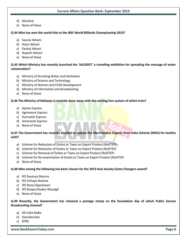- d) Mustard
- e) None of these

#### **Q.44 Who has won the world title at the IBSF World Billiards Championship 2019?**

- a) Saurav Advani
- b) Arjun Advani
- c) Pankaj Advani
- d) Rupesh Advani
- e) None of these

#### **Q.45 Which Ministry has recently launched the 'JALDOOT' a travelling exhibition for spreading the message of water conservation?**

- a) Ministry of Drunking Water and Sanitation
- b) Ministry of Science and Technology
- c) Ministry of Women and Child Development
- d) Ministry of Information and Broadcasting
- e) None of these

#### **Q.46 The Ministry of Railways is recently done away with the existing fare system of which train?**

- a) Ajanta Express
- b) Agniveena Express
- c) Humsafar Express
- d) Amaravati Express
- e) None of these

#### **Q.47 The Government has recently decided to replace the Merchandise Exports from India Scheme (MEIS) for textiles with?**

- a) Scheme for Reduction of Duties or Taxes on Export Product (RoDTEP)
- b) Scheme for Remission of Duties or Taxes on Export Product (RoDTEP)
- c) Scheme for Removal of Duties or Taxes on Export Product (RoDTEP)
- d) Scheme for Re-examination of Duties or Taxes on Export Product (RoDTEP)
- e) None of these

#### **Q.48 Who among the following has been chosen for the 2019 Asia Society Game Changers award?**

- a) IPS Soumya Sharma
- b) IPS Chhaya Sharma
- c) IPS Rema Rajeshwari
- d) IPS Roopa Divakar Moudgil
- e) None of these

**Q.49 Recently, the Government has released a postage stamp on the foundation day of which Public Service Broadcasting channel?**

- a) All India Radio
- b) Doordarshan
- c) BTRC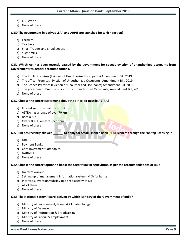- d) KBS World
- e) None of these

#### **Q.50 The government initiatives LEAP and ARPIT are launched for which section?**

- a) Farmers
- b) Teachers
- c) Small Traders and Shopkeepers
- d) Sugar mills
- e) None of these

#### **Q.51 Which Act has been recently passed by the government for speedy eviction of unauthorized occupants from Government residential accommodations?**

- a) The Public Premises (Eviction of Unauthorized Occupants) Amendment Bill, 2019
- b) The officer Premises (Eviction of Unauthorized Occupants) Amendment Bill, 2019
- c) The licence Premises (Eviction of Unauthorized Occupants) Amendment Bill, 2019
- d) The government Premises (Eviction of Unauthorized Occupants) Amendment Bill, 2019
- e) None of these

#### **Q.52 Choose the correct statement about the air-to-air missile ASTRA?**

- a) It is indigenously built by DRDO
- b) ASTRA has a range of over 70 km
- c) Both a & b
- d) Over 6000 Kilometres per hour
- e) None of these

#### **Q.53 RBI has recently allowed \_\_\_\_\_\_ to apply for Small Finance Bank (SFB) licences through the "on tap licensing"?**

- a) NBFCs
- b) Payment Banks
- c) Core Investment Companies
- d) NABARD
- e) None of these

#### **Q.54 Choose the correct option to boost the Credit flow in agriculture, as per the recommendations of RBI?**

- a) No farm waivers
- b) Setting up of management information system (MIS) for banks
- c) Interest subvention/subsidy to be replaced with DBT
- d) All of them
- e) None of these

#### **Q.55 The National Safety Award is given by which Ministry of the Government of India?**

- a) Ministry of Environment, Forest & Climate Change
- b) Ministry of Defence
- c) Ministry of Information & Broadcasting
- d) Ministry of Labour & Employment
- e) None of these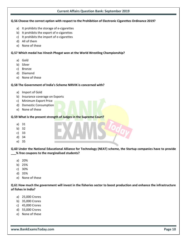#### **Q.56 Choose the correct option with respect to the Prohibition of Electronic Cigarettes Ordinance 2019?**

- a) It prohibits the storage of e-cigarettes
- b) It prohibits the export of e-cigarettes
- c) It prohibits the import of e-cigarettes
- d) All of them
- e) None of these

#### **Q.57 Which medal has Vinesh Phogat won at the World Wrestling Championship?**

- a) Gold
- b) Silver
- c) Bronze
- d) Diamond
- e) None of these

#### **Q.58 The Government of India's Scheme NIRVIK is concerned with?**

- a) Import of Gold
- b) Insurance coverage on Exports
- c) Minimum Export Price
- d) Domestic Consumption
- e) None of these

#### **Q.59 What is the present strength of Judges in the Supreme Court?**

- a) 31
- b) 32
- c) 33
- d) 34
- e) 35

**Q.60 Under the National Educational Alliance for Technology (NEAT) scheme, the Startup companies have to provide \_\_\_% free coupons to the marginalised students?**

- a) 20%
- b) 25%
- c) 30%
- d) 35%
- e) None of these

**Q.61 How much the government will invest in the fisheries sector to boost production and enhance the infrastructure of fishes in India?**

- a) 25,000 Crores
- b) 35,000 Crores
- c) 45,000 Crores
- d) 55,000 Crores
- e) None of these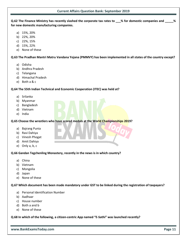**Q.62 The Finance Ministry has recently slashed the corporate tax rates to \_\_\_% for domestic companies and \_\_\_\_\_% for new domestic manufacturing companies.**

- a) 15%, 20%
- b) 22%, 20%
- c) 22%, 15%
- d) 15%, 22%
- e) None of these

**Q.63 The Pradhan Mantri Matru Vandana Yojana (PMMVY) has been implemented in all states of the country except?**

- a) Odisha
- b) Andhra Pradesh
- c) Telangana
- d) Himachal Pradesh
- e) Both a & c

#### **Q.64 The 55th Indian Technical and Economic Cooperation (ITEC) was held at?**

- a) Srilanka
- b) Myanmar
- c) Bangladesh
- d) Vietnam
- e) India

**Q.65 Choose the wrestlers who have scored medals at the World Championships 2019?**

- a) Bajrang Punia
- b) Ravi Dahiya
- c) Vinesh Phogat
- d) Amit Dahiya
- e) Only a, b, c

#### **Q.66 Gandan Tegchenling Monastery, recently in the news is in which country?**

- a) China
- b) Vietnam
- c) Mongolia
- d) Japan
- e) None of these

#### **Q.67 Which document has been made mandatory under GST to be linked during the registration of taxpayers?**

- a) Personal Identification Number
- b) Aadhaar
- c) House number
- d) Both a and b
- e) None of these

**Q.68 In which of the following, a citizen-centric App named "E-Sathi" was launched recently?**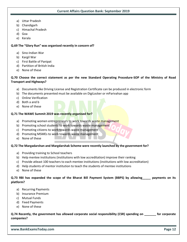- a) Uttar Pradesh
- b) Chandigarh
- c) Himachal Pradesh
- d) Goa
- e) Kerala

#### **Q.69 The "Glory Run" was organised recently in concern of?**

- a) Sino-Indian War
- b) Kargil War
- c) First Battle of Panipat
- d) Partition of British India
- e) None of these

#### **Q.70 Choose the correct statement as per the new Standard Operating Procedure-SOP of the Ministry of Road Transport and Highways?**

- a) Documents like Driving License and Registration Certificate can be produced in electronic form
- b) The documents presented must be available on DigiLocker or mParivahan app
- c) Online Verification
- d) Both a and b
- e) None of these

#### **Q.71 The WAWE Summit 2019 was recently organised for?**

- a) Promoting women entrepreneurs to work towards waste management
- b) Promoting school students to work towards waste management
- c) Promoting citizens to work towards waste management
- d) Promoting MSMEs to work towards waste management
- e) None of these

#### **Q.72 The Margadarshan and Margdarshak Scheme were recently launched by the government for?**

- a) Providing training to School teachers
- b) Help mentee institutions (institutions with low accreditation) improve their ranking
- c) Provide atleast 100 teachers to each mentee institutions (institutions with low accreditation)
- d) Help students of mentor institution to teach the students of mentee institutions
- e) None of these

#### **Q.73 RBI has expanded the scope of the Bharat Bill Payment System (BBPS) by allowing\_\_\_\_\_ payments on its platform?**

- a) Recurring Payments
- b) Insurance Premium
- c) Mutual Funds
- d) Fixed Payments
- e) None of these

#### **Q.74 Recently, the government has allowed corporate social responsibility (CSR) spending on \_\_\_\_\_\_\_ for corporate companies?**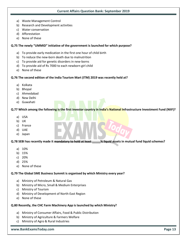- a) Waste Management Control
- b) Research and Development activities
- c) Water conservation
- d) Afforestation
- e) None of these

#### **Q.75 The newly "UMMID" initiative of the government is launched for which purpose?**

- a) To provide early medication in the first one hour of child birth
- b) To reduce the new-born death due to malnutrition
- c) To provide aid for genetic disorders in new-borns
- d) To provide aid of Rs 7000 to each newborn girl child
- e) None of these

#### **Q.76 The second edition of the India Tourism Mart (ITM) 2019 was recently held at?**

- a) Kolkata
- b) Bhopal
- c) Ahmedabad
- d) New Delhi
- e) Guwahati

#### **Q.77 Which among the following is the first investor country in India's National Infrastructure Investment Fund (NIIF)?**

- a) USA
- b) UK
- c) France
- d) UAE
- e) Japan

#### **Q.78 SEBI has recently made it mandatory to hold at least \_\_\_\_\_% liquid assets in mutual fund liquid schemes?**

- a) 10%
- b) 15%
- c) 20%
- d) 25%
- e) None of these

#### **Q.79 The Global SME Business Summit is organised by which Ministry every year?**

- a) Ministry of Petroleum & Natural Gas
- b) Ministry of Micro, Small & Medium Enterprises
- c) Ministry of Tourism
- d) Ministry of Development of North-East Region
- e) None of these

#### **Q.80 Recently, the CHC Farm Machinery App is launched by which Ministry?**

- a) Ministry of Consumer Affairs, Food & Public Distribution
- b) Ministry of Agriculture & Farmers Welfare
- c) Ministry of Agro & Rural Industries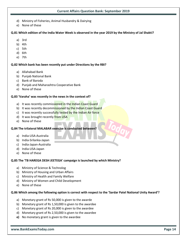- d) Ministry of Fisheries, Animal Husbandry & Dairying
- e) None of these

#### **Q.81 Which edition of the India Water Week is observed in the year 2019 by the Ministry of Jal Shakti?**

- a) 3rd
- b) 4th
- c) 5th
- d) 6th
- e) 7th

#### **Q.82 Which bank has been recently put under Directions by the RBI?**

- a) Allahabad Bank
- b) Punjab National Bank
- c) Bank of Baroda
- d) Punjab and Maharashtra Cooperative Bank
- e) None of these

#### **Q.83 'Varaha' was recently in the news in the context of?**

- a) It was recently commissioned in the Indian Coast Guard
- b) It was recently decommissioned by the Indian Coast Guard
- c) It was recently successfully tested by the Indian Air force
- d) It was brought recently from USA
- e) None of these

#### **Q.84 The trilateral MALABAR exercise is conducted between?**

- a) India-USA-Australia
- b) India-Srilanka-Japan
- c) India-Japan-Australia
- d) India-USA-Japan
- e) None of these

#### **Q.85 The 'TB HAREGA DESH JEETEGA' campaign is launched by which Ministry?**

- a) Ministry of Science & Technolog
- b) Ministry of Housing and Urban Affairs
- c) Ministry of Health and Family Welfare
- d) Ministry of Women and Child Development
- e) None of these

#### **Q.86 Which among the following option is correct with respect to the 'Sardar Patel National Unity Award'?**

- a) Monetary grant of Rs 50,000 is given to the awarde
- b) Monetary grant of Rs 1,50,000 is given to the awardee
- c) Monetary grant of Rs 20,000 is given to the awardee
- d) Monetary grant of Rs 2,50,000 is given to the awardee
- **e)** No monetary grant is given to the awardee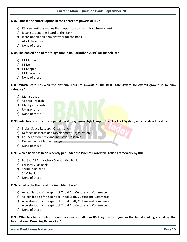#### **Q.87 Choose the correct option in the context of powers of RBI?**

- a) RBI can limit the money that depositors can withdraw from a bank
- b) It can suspend the Board of the Bank
- c) It can appoint an administrator for the Bank
- d) All of the above
- e) None of these

#### **Q.88 The 2nd edition of the 'Singapore India Hackathon 2019' will be held at?**

- a) IIT Madras
- b) IIT Delhi
- c) IIT Kanpur
- d) IIT Kharagpur
- e) None of these

#### **Q.89 Which state has won the National Tourism Awards as the Best State Award for overall growth in tourism category?**

- a) Maharashtra
- b) Andhra Pradesh
- c) Madhya Pradesh
- d) Uttarakhand
- e) None of these

**Q.90 India has recently developed its first Indigenous High Temperature Fuel Cell System, which is developed by?**

- a) Indian Space Research Organisation
- b) Defence Research and Development Organization
- c) Council of Scientific and Industrial Research
- d) Department of Biotechnology
- e) None of these

#### **Q.91 Which bank has been recently put under the Prompt Corrective Action Framework by RBI?**

- a) Punjab & Maharashtra Cooperative Bank
- b) Lakshmi Vilas Bank
- c) South India Bank
- d) SBM Bank
- e) None of these

#### **Q.92 What is the theme of the Aadi Mahotsav?**

- a) An exhibition of the spirit of Tribal Art, Culture and Commerce
- b) An exhibition of the spirit of Tribal Craft, Culture and Commerce
- c) A celebration of the spirit of Tribal Craft, Culture and Commerce
- d) A celebration of the spirit of Tribal Art, Culture and Commerce
- e) None of these

**Q.93 Who has been ranked as number one wrestler in 86 kilogram category in the latest ranking issued by the International Wrestling Federation?**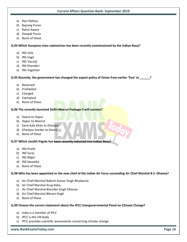- a) Ravi Dahiya
- b) Bajrang Punia
- c) Rahul Aware
- d) Deepak Punia
- e) None of these

**Q.94 Which Scorpene-class submarines has been recently commissioned by the Indian Navy?**

- a) INS Vela
- b) INS Vagir
- c) INS 'Karanj'
- d) INS Khanderi
- e) INS Vagsheer

**Q.95 Recently, the government has changed the export policy of Onion from earlier 'free' to \_\_\_\_\_\_?**

- a) Reserved
- b) Prohibited
- c) Charged
- d) Exempted
- e) None of these

#### **Q.96 The recently launched Delhi-Meerut Package-3 will connect?**

- a) Dasna to Hapur
- b) Hapur to Meerut
- c) Sarai Kale Khan to Ghazipur
- d) Ghazipur border to Dasna
- e) None of these

#### **Q.97 Which stealth frigate has been recently inducted into Indian Navy?**

- a) INS Pratik
- b) INS Suraj
- c) INS Nilgiri
- d) INS Swastika
- e) None of these

#### **Q.98 Who has been appointed as the new chief of the Indian Air Force succeeding Air Chief Marshal B.S. Dhanoa?**

- a) Air Chief Marshal Rakesh Kumar Singh Bhadauria
- b) Air Chief Marshal Arup Raha
- c) Air Chief Marshal Birender Singh Dhanoa
- d) Air Chief Marshal Bikram Singh
- e) None of these

#### **Q.99 Choose the correct statement about the IPCC Intergovernmental Panel on Climate Change?**

- a) India is a member of IPCC
- b) IPCC is the UN body
- c) IPCC provides scientific assessments concerning climate change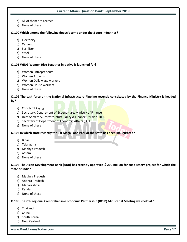- d) All of them are correct
- e) None of these

#### **Q.100 Which among the following doesn't come under the 8 core Industries?**

- a) Electricity
- b) Cement
- c) Fertilizer
- d) Steel
- e) None of these

#### **Q.101 WING-Women Rise Together initiative is launched for?**

- a) Women Entrepreneurs
- b) Women Artisans
- c) Women Daily wage workers
- d) Women House workers
- e) None of these

**Q.102 The task force on the National Infrastructure Pipeline recently constituted by the Finance Ministry is headed by?**

- a) CEO, NITI Aayog
- b) Secretary, Department of Expenditure, Ministry of Finance
- c) Joint Secretary, Infrastructure Policy & Finance Division, DEA
- d) Secretary of Department of Economic Affairs (DEA)
- **e)** None of these

#### **Q.103 In which state recently the 1st Mega Food Park of the state has been inaugurated?**

- a) Bihar
- b) Telangana
- c) Madhya Pradesh
- d) Assam
- e) None of these

**Q.104 The Asian Development Bank (ADB) has recently approved \$ 200 million for road safety project for which the state of India?** 

- a) Madhya Pradesh
- b) Andhra Pradesh
- c) Maharashtra
- d) Kerala
- e) None of these

#### **Q.105 The 7th Regional Comprehensive Economic Partnership (RCEP) Ministerial Meeting was held at?**

- a) Thailand
- b) China
- c) South Korea
- d) New Zealand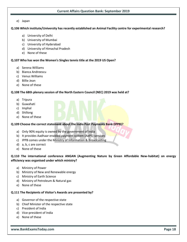#### e) Japan

#### **Q.106 Which institute/University has recently established an Animal Facility centre for experimental research?**

- a) University of Delhi
- b) University of Mumbai
- c) University of Hyderabad
- d) University of Himachal Pradesh
- e) None of these

#### **Q.107 Who has won the Women's Singles tennis title at the 2019 US Open?**

- a) Serena Williams
- b) Bianca Andreescu
- c) Venus Williams
- d) Billie Jean
- e) None of these

#### **Q.108 The 68th plenary session of the North Eastern Council (NEC) 2019 was held at?**

- a) Tripura
- b) Guwahati
- c) Imphal
- d) Shillong
- e) None of these

#### **Q.109 Choose the correct statement about the India Post Payments Bank (IPPB)?**

- a) Only 90% equity is owned by the government of India
- b) It provides Aadhaar enabled payment system (AePS) services
- c) IPPB comes under the Ministry of Information & Broadcasting
- d) a, b, c are correct
- e) None of these

#### **Q.110 The international conference ANGAN (Augmenting Nature by Green Affordable New-habitat) on energy efficiency was organised under which ministry?**

- a) Ministry of Power
- b) Ministry of New and Renewable energy
- c) Ministry of Earth Science
- d) Ministry of Petroleum & Natural gas
- e) None of these

#### **Q.111 The Recipients of Visitor's Awards are presented by?**

- a) Governor of the respective state
- b) Chief Minister of the respective state
- c) President of India
- d) Vice-president of India
- e) None of these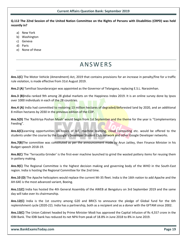**Q.112 The 22nd Session of the United Nation Committee on the Rights of Persons with Disabilities (CRPD) was held recently in?** 

- a) New York
- b) Washington
- c) Geneva
- d) Paris
- e) None of these

## **ANSWFRS**

**Ans.1(C)** The Motor Vehicle (Amendment) Act, 2019 that contains provisions for an increase in penalty/fine for a traffic rule violation, is made effective from 31st August 2019.

**Ans.2 (A)** Tamilisai Soundararajan was appointed as the Governor of Telangana, replacing E.S.L. Narasimhan.

**Ans.3 (B)**India ranked 9th among 28 global markets on the Happiness Index 2019. It is an online survey done by Ipsos over 1000 individuals in each of the 28 countries.

**Ans.4 (A)** India had committed to restoring 13 million hectares of degraded/deforested land by 2020, and an additional 8 million hectares by 2030 in the previous edition of the COP.

**Ans.5(D)** The 'Rashtriya Poshan Maah' would begin from 1st September and the theme for the year is "Complementary Feeding".

**Ans.6(C)**Learning opportunities on topics of IoT, machine learning, cloud computing etc. would be offered to the students under the course by the Google's Developer Student Club network and other Google Developer networks.

**Ans.7(B)**The committee was constituted as per the announcement made by Arun Jaitley, then Finance Minister in his Budget speech 2018-19.

**Ans.8(C)** The 'Terracotta Grinder' is the first-ever machine launched to grind the wasted pottery items for reusing them in pottery making.

**Ans.9(C)** The Regional Committee is the highest decision making and governing body of the WHO in the South-East region. India is hosting the Regional Committee for the 2nd time.

**Ans.10 (D)** The Apache helicopters would replace the current Mi-35 fleet. India is the 16th nation to add Apache and the AH-64E is the most advanced variant, Boeing.

**Ans.11(C)** India has hosted the 4th General Assembly of the AWEB at Bengaluru on 3rd September 2019 and the same day will take over its chairmanship.

**Ans.12(C)** India is the 1st country among G20 and BRICS to announce the pledge of Global fund for the 6th replenishment cycle (2020-22). India has a partnership, both as a recipient and as a donor with the GFTAM since 2002.

**Ans.13(C)** The Union Cabinet headed by Prime Minister Modi has approved the Capital Infusion of Rs 4,557 crore in the IDBI Bank. The IDBI bank has reduced its net NPA from peak of 18.8% in June 2018 to 8% in June 2019.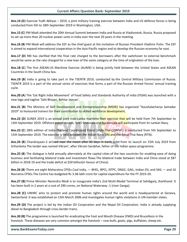**Ans.14 (D**) Exercise Yudh Abhyas – 2019, a joint military training exercise between India and US defence forces is being conducted from 5th to 18th September 2019 in Washington, USA.

**Ans.15 (C**) PM Modi attended the 20th Annual Summit between India and Russia at Vladivostok, Russia. Russia proposed to set up more than 20 nuclear power units in India over the next 20 years in the meeting.

**Ans.16 (B**) PM Modi will address the EEF as the chief guest at the invitation of Russian President Vladimir Putin. The EEF is aimed to expand international cooperation in the Asia-Pacific region and to develop the Russian economy far east.

**Ans.17 (D**) RBI has clarified that the final rate charged to the borrowers after the switchover to external benchmark would be same as the rate charged for a new loan of the same category at the time of origination of the loan.

**Ans.18 (C**) The first ASEAN-US Maritime Exercise (AUMX) is being jointly held between the United States and ASEAN Countries in the South China Sea.

**Ans.19 (B**) India is going to take part in the TSENTR 2019, conducted by the Central Military Commission of Russia. TSENTR 2019 is a part of the annual series of exercises that forms a part of the Russian Armed Forces' annual training cycle.

**Ans.20 (A**) The 'Eat Right India Movement' of Food Safety and Standards Authority of India (FSSAI) was launched with a new logo and tagline 'Sahi Bhojan, Behtar Jeevan'.

**Ans.21 (B**) The Ministry of Skill Development and Entrepreneurship (MSDE) has organized "Kaushalacharya Samadar 2019" to honoured trainers for their contribution to skilled workforce development.

**Ans.22 (D**) SLINEX 2019 is an annual joint Indo-Lanka maritime fleet exercise that will be held from 7th September to 13th September 2019. Offshore patrol vessels, SLNS Sindurala and Suranimala will participate from Sri Lankan Navy.

**Ans.23 (C**) 28th edition of India-Thailand Coordinated Patrol (Indo-Thai CORPAT) is conducted from 5th September to 15th September 2019. The exercise is held between the Indian Navy (IN) and the Royal Thai Navy (RTN).

**Ans.24 (B**) Chandrayaan-2 arrived near the moon after 30 days in earth orbit from its launch on 15th July 2019 from Sriharikota.The lander was named Vikram', after Vikram Sarabhai, father of the Indian space programme.

**Ans.25 (B**) The dialogue is held annually alternately at the capital cities of the two countries for enabling ease of doing business and facilitating bilateral trade and investment flows.The bilateral trade between India and China stood at \$87 billion in 2018-19 and the trade deficit at \$50 billion(in favour of China).

**Ans.26 (B**) There are eight Maharatna CPSEs Coal India, — BHEL, BPCL, NTPC, ONGC, GAIL, Indian Oil, and SAIL — and 16 Navratna CPSEs.The Centre has budgeted Rs 3.38-lakh crore for capital expenditure for the FY 2019-20.

**Ans.27 (B)** Prime Minister Narendra Modi is to inaugurate India's 2nd Multi-Modal Terminal at Sahibganj, Jharkhand. It has been built in 2 years at a cost of 290 crores, on National Waterway -1 (river Ganga).

**Ans.28 (C)** UNHRC aims to protect and promote human rights around the world and is headquartered at Geneva, Switzerland. It was established on 15th March 2006 and investigates human rights violations in UN member states.

**Ans**.**29 (D)** The project is led by the Indian Oil Corporation and the Nepal Oil Corporation. India is already supplying diesel to Bangladesh through cross border trains.

**Ans.30 (B)** The programme is launched for eradicating the Foot and Mouth Disease (FMD) and Brucellosis in the livestock. These diseases are very common amongst the livestock – cow-bulls, goats, pigs, buffaloes, sheep etc.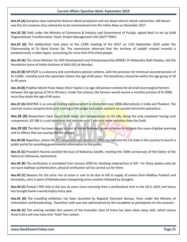**Ans.31 (A)** Scorpene class submarine features diesel propulsion and are diesel-electric attack submarines. INS Kalvari was the 1st scorpene class submarine to be commissioned into the Indian Navy on December 2017.

**Ans.32 (D)** GeM under the Ministry of Commerce & Industry and Government of Punjab, signed MoU to set up GeM Organizational Transformation Team- Project Management Unit (GOTT PMU).

**Ans.33 (D)** The deliberation took place at the 119th meeting of the NCST on 11th September 2019 under the Chairmanship of Dr Nand Kumar Sai. The commission observed that the territory of Ladakh created recently is predominantly a tribal region, accounting for more than 97% tribal people.

**Ans.34 (A)** The Union Minister for Skill Development and Entrepreneurship (MSDE) Dr Mahendra Nath Pandey, laid the foundation stone of Indian Institute of Skills (IIS) at Mumbai.

**Ans.35 (B)** NPSTSEP is a voluntary and contributory pension scheme, with the provision for minimum assured pension of Rs 3,000/- monthly once the subscriber attains the age of 60 years. The beneficiary should be within the age group of 18 to 40 years.

**Ans.36 (B)** Pradhan Mantri Kisan Maan Dhan Yojana is an age-old pension scheme for all small and marginal farmers between the age group of 18 to 40 years. Under the scheme, the farmers would receive a monthly pension of Rs 3000, once they attain the age of 60 years.

**Ans.37 (A)** MAITREE is an annual training exercise which is conducted since 2006 alternatively in India and Thailand. The exercise covers company level joint training in the jungle and urban scenario on counter-terrorism operations.

**Ans.38 (D)** Researchers have found both water and temperatures on K2-18b, being the only exoplanet having such components. K2-18b is a cool exoplanet and receives only 5 per cent more radiation than the Earth.

**Ans.39 (D)** The MoU has been signed as part of Indian Railways' green initiative to mitigate the cause of global warming and its effects that are causing climate change.

**Ans.40 (B)** Rajasthan, where the RTI movement had started in 1990s has become the 1st state in the country to launch a public portal for providing governmental information to the public.

**Ans.41 (C)** President Kovind unveiled the bust of Mahatma Gandhi, marking the 150th anniversary of the Father of the Nation at Villeneuve, Switzerland.

**Ans.42 (B)** The verification is mandated from January 2020 for checking malpractices in GST. For those dealers who do not want Aadhaar authentication, physical verification will be carried out for them.

**Ans.43 (C)** Reasons for the price rise of onion is said to be due to fall in supply of onions from Madhya Pradesh and Karnataka, rains in parts of Mahaharastra hampering onion markets followed by droughts.

**Ans.44 (C)** Pankaj's fifth title in the last six years since returning from a professional stint in the UK in 2014 and hence has brought home a world trophy every year.

**Ans.45 (D)** The travelling exhibition has been launched by Regional Outreach Bureau, Pune under the Ministry of Information and Broadcasting. 'Swachhta' oath was also administered by Shri Javadekar to participants on the occasion.

**Ans.46 (C)** The existing variable fare system of the Humsafar class of trains has been done away with, which means these trains will now have only 'fixed' fare system.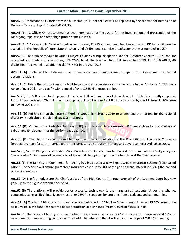**Ans.47 (B)** Merchandise Exports from India Scheme (MEIS) for textiles will be replaced by the scheme for Remission of Duties or Taxes on Export Product (RoDTEP).

**Ans.48 (B)** IPS Officer Chhaya Sharma has been nominated for the award for her investigation and prosecution of the Delhi gang-rape case and other high-profile crimes in India.

**Ans.49 (B)** A Korean Public Service Broadcasting channel, KBS World was launched through which DD India will now be available in the Republic of Korea. Doordarshan is India's first public service broadcaster that was founded in 1959.

**Ans.50 (B)** The training module of various subjects built by discipline-specific National Resource Centres (NRCs) and are uploaded and made available through SWAYAM to all the teachers from 1st September 2019. For 2019 ARPIT, 46 disciplines are covered in addition to the 75 NRCs in the year 2018.

**Ans.51 (A)** The bill will facilitate smooth and speedy eviction of unauthorized occupants from Government residential accommodations.

**Ans.52 (C)** This is the first indigenously built beyond visual range air-to-air missile of the Indian Air Force. ASTRA has a range of over 70 km and can fly with a speed of over 5,555 kilometres per hour.

**Ans.53 (B)** The SFB licence to the payments banks will allow them to boost deposits and lend, that is currently capped at Rs 1 lakh per customer. The minimum paid-up capital requirement for SFBs is also revised by the RBI from Rs 100 crore to now Rs 200 crore.

**Ans.54 (D)** RBI had set up the 'Internal Working Group' in February 2019 to understand the reasons for the regional disparity in agricultural credit and suggest measures.

**Ans.55 (D)** Vishwakarma Rashtriya Puraskar (VRP) and National Safety Awards (NSA) were given by the Ministry of Labour and Employment for the performance year 2017.

**Ans.56 (D)** The Union Cabinet chaired has approved the Promulgation of the Prohibition of Electronic Cigarettes (production, manufacture, import, export, transport, sale, distribution, storage and advertisement) Ordinance, 2019.

**Ans.57 (C)** Vinesh Phogat has defeated Maria Prevolaraki of Greece, two-time world bronze medallist in 53 kg category. She scored 8-2 win to over silver medallist of the world championship to secure her place at the Tokyo Games.

**Ans.58 (B)** The Ministry of Commerce & Industry has introduced a new Export Credit Insurance Scheme (ECIS) called NIRVIK. The scheme will ensure guaranteed insurance cover up to 90% of the principal and interest including the pre and post-shipment loss.

**Ans.59 (D)** The four judges are the Chief Justices of the High Courts. The total strength of the Supreme Court has now gone up to the highest ever number of 34.

**Ans.60 (B)** The platform will provide easier access to technology to the marginalised students. Under the scheme, companies using artificial intelligence must offer 25% free coupons for students from disadvantaged communities.

**Ans.61 (A)** The last (12th edition of) Handbook was published in 2014. The Government will invest 25,000 crore in the next 5 years in the fisheries sector to boost production and enhance infrastructure of fishes in India.

**Ans.62 (C)** The Finance Ministry, GOI has slashed the corporate tax rates to 22% for domestic companies and 15% for new domestic manufacturing companies. The FinMin has also said that it will expand the scope of CSR 2 % spending.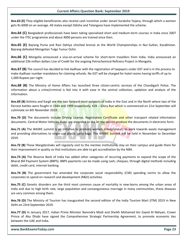**Ans.63 (E)** They eligible beneficiaries also receive cash incentive under Janani Suraksha Yojana, through which a women gets Rs 6000 on an average. All states except Odisha and Telangana have implemented the scheme.

**Ans.64 (C)** Bangladesh professionals have been taking specialized short and medium-term courses in India since 2007 under the ITEC programme and about 4000 persons are trained since then.

**Ans.65 (E)** Bajrang Punia and Ravi Dahiya clinched bronze at the World Championships in Nur-Sultan, Kazakhstan. Bajrang defeated Mongolian Tulga Tumur Ochir.

**Ans.66 (C)** Mongolia announced a visa-on-arrival scheme for short-term travellers from India. India announced an additional 236 million dollars Line of Credit for the ongoing Petrochemical Refinery Project in Mongolia.

**Ans.67 (B)** The council has decided to link Aadhaar with the registration of taxpayers under GST and is in the process to make Aadhaar number mandatory for claiming refunds. No GST will be charged for hotel rooms having tariffs of up to 1,000 Rupees per night.

**Ans.68 (B)** The Ministry of Home Affairs has launched three citizen-centric services of the Chandigarh Police. The information about a crime/criminal is fed into it with ease in the central collection, updation and analysis of the information.

**Ans.69 (B)** Kohima and Kargil are the two forward most outposts of India in the East and in the North where two of the fiercest battles were fought in 1944 and 1999 respectively. K2K - Glory Run which is commenced on 21st September will culminate on 6th November 2019.

Ans.70 (D) The documents include Driving License, Registration Certificate and other transport related information documents. Central Motor Vehicles Rules are amended to the let the person produce the documents in electronic form.

**Ans.71 (A)** The WAWE summit is an initiative to promote women entrepreneurs to work towards waste management and providing alternatives to single-use plastic carry bags. The WAWE Summit will be held in November to December 2019.

**Ans.72 (B)** These Margdarshaks will regularly visit to the mentee institutions, stay on their campus and guide them for their improvement in quality so that institutions are able to get accreditation by the NBA.

**Ans.73 (A)** The Reserve Bank of India has added other categories of recurring payments to expand the scope of the Bharat Bill Payment System (BBPS). BBPS payments can be made using cash, cheques, through digital methods including debit, credit card, internet banking.

**Ans.74 (B)** The government has amended the corporate social responsibility (CSR) spending norms to allow the corporates to spend on research and development (R&D) activities.

**Ans.75 (C)** Genetic disorders are the third most common cause of mortality in new-borns among the urban areas of India and due to high birth rate, large population and consanguineous marriage in many communities, these diseases are very common among them.

**Ans.76 (D)** The Ministry of Tourism has inaugurated the second edition of the India Tourism Mart (ITM) 2019 in New Delhi on 23rd September 2019.

**Ans.77 (D)** In January 2017, Indian Prime Minister Narendra Modi and Sheikh Mohamed bin Zayed Al Nahyan, Crown Prince of Abu Dhabi have signed the Comprehensive Strategic Partnership Agreement, to promote economic ties between the UAE and India.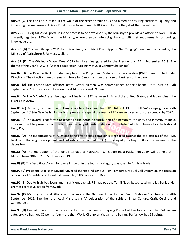**Ans.78 (C)** The decision is taken in the wake of the recent credit crisis and aimed at ensuring sufficient liquidity and improving risk management. Also, Fund houses have to match 20% norm before they start their investment.

**Ans.79 (B)** A digital MSME portal is in the process to be developed by the Ministry to provide a platform to over 75 lakh currently registered MSMEs with the Ministry, where they can interact globally to fulfil their requirements for funding, knowledge etc.

**Ans.80 (B)** Two mobile apps 'CHC Farm Machinery and Krishi Kisan App for Geo Tagging' have been launched by the Ministry of Agriculture & Farmers Welfare.

**Ans.81 (D)** The 6th India Water Week-2019 has been inaugurated by the President on 24th September 2019. The theme of this year's IWW is "Water cooperation: Coping with 21st Century Challenges".

**Ans.82 (D)** The Reserve Bank of India has placed the Punjab and Maharashtra Cooperative (PMC) Bank Limited under Directions. The directions are to remain in force for 6 months from the close of business of the bank.

**Ans.83 (A)** The Coast Guard offshore patrol vessel 'Varaha' was commissioned at the Chennai Port Trust on 25th September 2019. The ship will have onboard 14 officers and 89 men.

**Ans.84 (D)** The MALABAR exercise began originally in 1992 between India and the United States, and Japan joined the exercise in 2015.

**Ans.85 (C)** Ministry of Health and Family Welfare has launched 'TB HAREGA DESH JEETEGA' campaign on 25th September 2019 in New Delhi. It aims to improve and expand the reach of TB care services across the country, by 2022.

**Ans.86 (E)** The award is conferred to recognize the notable contribution of a person to the unity and integrity of India. The award will be presented on the birth anniversary of Sardar Patel on 31st October which is observed as the National Unity Day.

**Ans.87 (D)** The modifications of rules are done after police complaints were filed against the top officials of the PMC bank and Housing Development and Infrastructure Limited (HDIL) for allegedly looting 3,000 crore rupees of the depositors.

**Ans.88 (A)** The 2nd edition of the joint international hackathon 'Singapore India Hackathon 2019' will be held at IIT Madras from 28th to 29th September 2019.

**Ans.89 (B)** The Best State Award for overall growth in the tourism category was given to Andhra Pradesh.

**Ans.90 (C)** President Ram Nath Kovind, unveiled the first Indigenous High Temperature Fuel Cell System on the occasion of Council of Scientific and Industrial Research (CSIR) Foundation Day.

**Ans.91 (B)** Due to high bad loans and insufficient capital, RBI has put the Tamil Nadu based Lakshmi Vilas Bank under prompt corrective action framework.

**Ans.92 (C)** Ministry of Tribal Affairs will inaugurate the National Tribal Festival "Aadi Mahotsav" at Noida on 28th September 2019. The theme of Aadi Mahotsav is "A celebration of the spirit of Tribal Culture, Craft, Cuisine and Commerce".

**Ans.93 (D)** Deepak Punia from India was ranked number one but Bajrang Punia lost the top rank in the 65-kilogram category. He has now 82 points, four more than World Champion Yazdani and Bajrang Punia now has 63 points.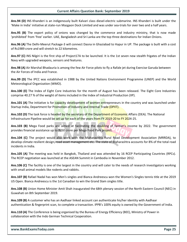**Ans.94 (D)** INS Khanderi is an indigenously built Kalvari class diesel-electric submarine. INS Khanderi is built under the 'Make in India' initiative at state-run Mazgaon Dock Limited and was under sea-trials for over two and a half years.

**Ans.95 (B)** The export policy of onions was changed by the commerce and industry ministry, that is now made 'prohibited' from 'free' earlier. UAE, Bangladesh and Sri Lanka are the top three destinations for Indian Onions.

**Ans.96 (A)** The Delhi-Meerut Package-3 will connect Dasna in Ghaziabad to Hapur in UP. The package is built with a cost of Rs1989 crore and will stretch to 22 kilometres.

**Ans.97 (C)** INS Nilgiri is the first ship of Project17A to be launched. It is the 1st seven new stealth frigates of the Indian Navy with upgraded weapons, sensors and features.

**Ans.98 (A)** Air Marshal Bhadauria is among the few Air Force pilots to fly a Rafale jet during Exercise Garuda between the Air Forces of India and France.

**Ans.99 (D)** The IPCC was established in 1988 by the United Nations Environment Programme (UNEP) and the World Meteorological Organization (WMO).

**Ans.100 (E)** The Index of Eight Core Industries for the month of August has been released. The Eight Core Industries comprise 40.27 % of the weight of items included in the Index of Industrial Production (IIP).

**Ans.101 (A)** The initiative is for capacity development of women entrepreneurs in the country and was launched under Startup India, Department for Promotion of Industry and Internal Trade (DPIIT).

**Ans.102 (D)** The task force is headed by the secretary of the Department of Economic Affairs (DEA). The National Infrastructure Pipeline would be set up for each of the years from FY 2019-20 to FY 2024-25.

**Ans.103 (B)** Mega Food parks are aimed at facilitating the doubling of farmer's income by 2022. The government provides financial assistance up to Rs50 crore per Mega Food Park project.

**Ans.104 (C)** The project would also work with the Maharashtra Rural Road Development Association (MRRDA), to develop climate resilient design, road asset management etc. The state of Maharashtra accounts for 8% of the total road incidents in India.

**Ans.105 (A)** The meeting was held in Bangkok, Thailand and was attended by 16 RCEP Participating Countries (RPCs). The RCEP negotiation was launched at the ASEAN Summit in Cambodia in November 2012.

**Ans.106 (C)** The facility is one of the largest in the country and will cater to the needs of research investigators working with small animal models like rodents and rabbits.

**Ans.107 (B)** Rafael Nadal has won Men's singles and Bianca Andreescu won the Women's Singles tennis title at the 2019 US Open. Bianca Andreescu is the 1st Canadian to win the Grand Slam singles title.

**Ans.108 (B)** Union Home Minister Amit Shah inaugurated the 68th plenary session of the North Eastern Council (NEC) in Guwahati on 8th September 2019.

**Ans.109 (B)** A customer who has an Aadhaar linked account can authenticate his/her identity with Aadhaar authentication & fingerprint scan, to complete a transaction. IPPB's 100% equity is owned by the Government of India.

**Ans.110 (A)** The Conference is being organised by the Bureau of Energy Efficiency (BEE), Ministry of Power in collaboration with the Indo German Technical Cooperation.